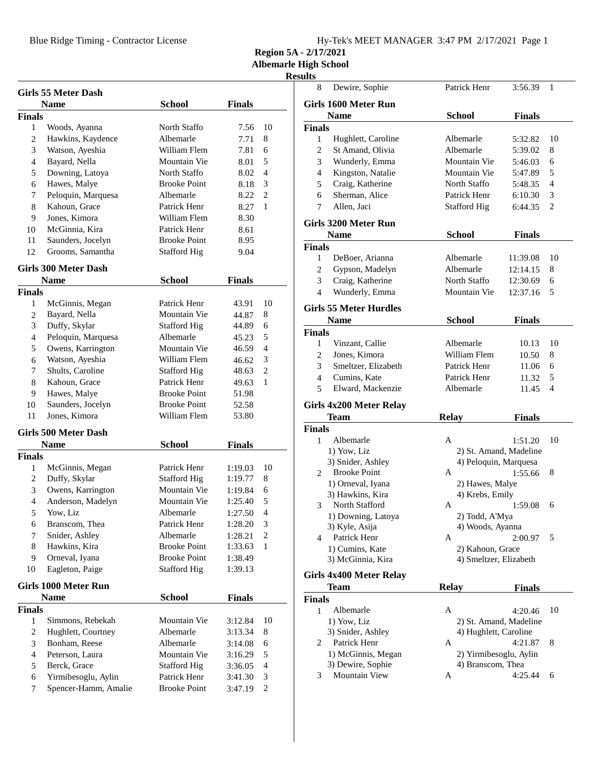Blue Ridge Timing - Contractor License

| Hy-Tek's MEET MANAGER 3:47 PM 2/17/2021 Page 1 |  |  |  |
|------------------------------------------------|--|--|--|
|------------------------------------------------|--|--|--|

**Region 5A - 2/17/2021**

**Albemarle High School**

## **Results**

|                | <b>Girls 55 Meter Dash</b>  |                     |               |                |
|----------------|-----------------------------|---------------------|---------------|----------------|
|                | <b>Name</b>                 | <b>School</b>       | <b>Finals</b> |                |
| <b>Finals</b>  |                             |                     |               |                |
| 1              | Woods, Ayanna               | North Staffo        | 7.56          | 10             |
| $\overline{c}$ | Hawkins, Kaydence           | Albemarle           | 7.71          | 8              |
| 3              | Watson, Ayeshia             | William Flem        | 7.81          | 6              |
| $\overline{4}$ | Bayard, Nella               | Mountain Vie        | 8.01          | 5              |
| 5              | Downing, Latoya             | North Staffo        | 8.02          | 4              |
| 6              | Hawes, Malye                | <b>Brooke Point</b> | 8.18          | 3              |
| 7              | Peloquin, Marquesa          | Albemarle           | 8.22          | $\overline{c}$ |
| 8              | Kahoun, Grace               | Patrick Henr        | 8.27          | 1              |
| 9              | Jones, Kimora               | William Flem        | 8.30          |                |
| 10             | McGinnia, Kira              | Patrick Henr        | 8.61          |                |
| 11             | Saunders, Jocelyn           | <b>Brooke Point</b> | 8.95          |                |
| 12             | Grooms, Samantha            | <b>Stafford Hig</b> | 9.04          |                |
|                | <b>Girls 300 Meter Dash</b> |                     |               |                |
|                | <b>Name</b>                 | <b>School</b>       | <b>Finals</b> |                |
| <b>Finals</b>  |                             |                     |               |                |
| 1              | McGinnis, Megan             | Patrick Henr        | 43.91         | 10             |
| 2              | Bayard, Nella               | Mountain Vie        | 44.87         | 8              |
| 3              | Duffy, Skylar               | <b>Stafford Hig</b> | 44.89         | 6              |
| 4              | Peloquin, Marquesa          | Albemarle           | 45.23         | 5              |
| 5              | Owens, Karrington           | Mountain Vie        | 46.59         | 4              |
| 6              | Watson, Ayeshia             | William Flem        | 46.62         | 3              |
| 7              | Shults, Caroline            | <b>Stafford Hig</b> | 48.63         | 2              |
| 8              | Kahoun, Grace               | Patrick Henr        | 49.63         | 1              |
| 9              | Hawes, Malye                | <b>Brooke Point</b> | 51.98         |                |
| 10             | Saunders, Jocelyn           | <b>Brooke Point</b> | 52.58         |                |
| 11             | Jones, Kimora               | William Flem        | 53.80         |                |
|                |                             |                     |               |                |
|                | Girls 500 Meter Dash        |                     |               |                |
|                | <b>Name</b>                 | School              | Finals        |                |
| <b>Finals</b>  |                             |                     |               |                |
| 1              | McGinnis, Megan             | Patrick Henr        | 1:19.03       | 10             |
| 2              | Duffy, Skylar               | <b>Stafford Hig</b> | 1:19.77       | 8              |
| 3              | Owens, Karrington           | Mountain Vie        | 1:19.84       | 6              |
| 4              | Anderson, Madelyn           | Mountain Vie        | 1:25.40       | 5              |
| 5              | Yow, Liz                    | Albemarle           | 1:27.50       | $\overline{4}$ |
| 6              | Branscom, Thea              | Patrick Henr        | 1:28.20       | 3              |
| 7              | Snider, Ashley              | Albemarle           | 1:28.21       | 2              |
| 8              | Hawkins, Kira               | <b>Brooke Point</b> | 1:33.63       | 1              |
| 9              | Orneval, Iyana              | <b>Brooke Point</b> | 1:38.49       |                |
| 10             | Eagleton, Paige             | <b>Stafford Hig</b> | 1:39.13       |                |
|                | <b>Girls 1000 Meter Run</b> |                     |               |                |
|                | <b>Name</b>                 | School              | <b>Finals</b> |                |
| <b>Finals</b>  |                             |                     |               |                |
| 1              | Simmons, Rebekah            | Mountain Vie        | 3:12.84       | 10             |
| $\overline{c}$ | Hughlett, Courtney          | Albemarle           | 3:13.34       | 8              |
| 3              | Bonham, Reese               | Albemarle           | 3:14.08       | 6              |
| $\overline{4}$ | Peterson, Laura             | Mountain Vie        | 3:16.29       | 5              |
| 5              | Berck, Grace                | <b>Stafford Hig</b> | 3:36.05       | 4              |
| 6              | Yirmibesoglu, Aylin         | Patrick Henr        | 3:41.30       | 3              |
| 7              | Spencer-Hamm, Amalie        | <b>Brooke Point</b> | 3:47.19       | 2              |
|                |                             |                     |               |                |

| 8              | Dewire, Sophie                           | Patrick Henr          | 3:56.39                | 1  |
|----------------|------------------------------------------|-----------------------|------------------------|----|
|                | Girls 1600 Meter Run                     |                       |                        |    |
|                | <b>Name</b>                              | <b>School</b>         | <b>Finals</b>          |    |
| Finals         |                                          |                       |                        |    |
| 1              | Hughlett, Caroline                       | Albemarle             | 5:32.82                | 10 |
| $\overline{2}$ | St Amand, Olivia                         | Albemarle             | 5:39.02                | 8  |
| 3              | Wunderly, Emma                           | Mountain Vie          | 5:46.03                | 6  |
| $\overline{4}$ | Kingston, Natalie                        | Mountain Vie          | 5:47.89                | 5  |
| 5              | Craig, Katherine                         | North Staffo          | 5:48.35                | 4  |
| 6              | Sherman, Alice                           | Patrick Henr          | 6:10.30                | 3  |
| 7              | Allen, Jaci                              | <b>Stafford Hig</b>   | 6:44.35                | 2  |
|                | Girls 3200 Meter Run                     |                       |                        |    |
|                | <b>Name</b>                              | <b>School</b>         | <b>Finals</b>          |    |
| Finals         |                                          |                       |                        |    |
| 1              | DeBoer, Arianna                          | Albemarle             | 11:39.08               | 10 |
| 2              | Gypson, Madelyn                          | Albemarle             | 12:14.15               | 8  |
| 3              | Craig, Katherine                         | North Staffo          | 12:30.69               | 6  |
| $\overline{4}$ | Wunderly, Emma                           | Mountain Vie          | 12:37.16               | 5  |
|                | <b>Girls 55 Meter Hurdles</b>            |                       |                        |    |
|                | <b>Name</b>                              | <b>School</b>         | <b>Finals</b>          |    |
| Finals         |                                          |                       |                        |    |
| 1              | Vinzant, Callie                          | Albemarle             | 10.13                  | 10 |
| 2              | Jones, Kimora                            | William Flem          | 10.50                  | 8  |
| 3              | Smeltzer, Elizabeth                      | Patrick Henr          | 11.06                  | 6  |
| $\overline{4}$ | Cumins, Kate                             | Patrick Henr          |                        | 5  |
| 5              | Elward, Mackenzie                        | Albemarle             | 11.32                  | 4  |
|                |                                          |                       | 11.45                  |    |
|                | Girls 4x200 Meter Relay                  |                       |                        |    |
|                | Team                                     | <b>Relay</b>          | <b>Finals</b>          |    |
| Finals<br>1    | Albemarle                                | A                     | 1:51.20                | 10 |
|                |                                          |                       |                        |    |
|                | 1) Yow, Liz                              |                       | 2) St. Amand, Madeline |    |
|                | 3) Snider, Ashley<br><b>Brooke Point</b> |                       | 4) Peloquin, Marquesa  |    |
| $\overline{2}$ |                                          | A                     | 1:55.66                | 8  |
|                | 1) Orneval, Iyana                        | 2) Hawes, Malye       |                        |    |
|                | 3) Hawkins, Kira                         | 4) Krebs, Emily       |                        |    |
| 3              | North Stafford                           | A                     | 1:59.08                | 6  |
|                | 1) Downing, Latoya                       | 2) Todd, A'Mya        |                        |    |
|                | 3) Kyle, Asija                           | 4) Woods, Ayanna      |                        |    |
| 4              | Patrick Henr                             | A                     | 2:00.97                | 5  |
|                | 1) Cumins, Kate                          | 2) Kahoun, Grace      |                        |    |
|                | 3) McGinnia, Kira                        |                       | 4) Smeltzer, Elizabeth |    |
|                | Girls 4x400 Meter Relay                  |                       |                        |    |
|                | Team                                     | <b>Relay</b>          | <b>Finals</b>          |    |
| Finals         |                                          |                       |                        |    |
| 1              | Albemarle                                | A                     | 4:20.46                | 10 |
|                | 1) Yow, Liz                              |                       | 2) St. Amand, Madeline |    |
|                | 3) Snider, Ashley                        | 4) Hughlett, Caroline |                        |    |
| 2              | Patrick Henr                             | A                     | 4:21.87                | 8  |
|                | 1) McGinnis, Megan                       |                       | 2) Yirmibesoglu, Aylin |    |
|                | 3) Dewire, Sophie                        | 4) Branscom, Thea     |                        |    |
| 3              | Mountain View                            | Α                     | 4:25.44                | 6  |
|                |                                          |                       |                        |    |
|                |                                          |                       |                        |    |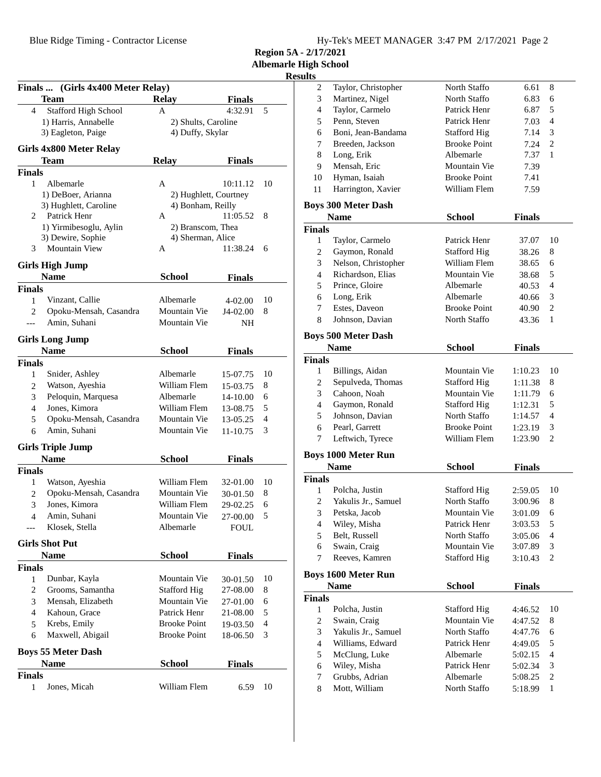$\overline{a}$ 

|                   |                                   |                       |                      |        | <b>Results</b>      |                                           |                                     |                    |                |
|-------------------|-----------------------------------|-----------------------|----------------------|--------|---------------------|-------------------------------------------|-------------------------------------|--------------------|----------------|
|                   | Finals  (Girls 4x400 Meter Relay) |                       |                      |        | 2                   | Taylor, Christopher                       | North Staffo                        | 6.61               | 8              |
|                   | <b>Team</b>                       | Relay                 | <b>Finals</b>        |        | 3                   | Martinez, Nigel                           | North Staffo                        | 6.83               | 6              |
| 4                 | Stafford High School              | A                     | 4:32.91              | 5      | 4                   | Taylor, Carmelo                           | Patrick Henr                        | 6.87               | 5              |
|                   | 1) Harris, Annabelle              | 2) Shults, Caroline   |                      |        | 5                   | Penn, Steven                              | Patrick Henr                        | 7.03               | $\overline{4}$ |
|                   | 3) Eagleton, Paige                | 4) Duffy, Skylar      |                      |        | 6                   | Boni, Jean-Bandama                        | <b>Stafford Hig</b>                 | 7.14               | 3              |
|                   | Girls 4x800 Meter Relay           |                       |                      |        | 7                   | Breeden, Jackson                          | <b>Brooke Point</b>                 | 7.24               | $\overline{2}$ |
|                   | <b>Team</b>                       | <b>Relay</b>          | <b>Finals</b>        |        | 8                   | Long, Erik                                | Albemarle                           | 7.37               | $\mathbf{1}$   |
| <b>Finals</b>     |                                   |                       |                      |        | 9                   | Mensah, Eric                              | Mountain Vie                        | 7.39               |                |
| $\mathbf{1}$      | Albemarle                         | A                     | 10:11.12             | 10     | 10                  | Hyman, Isaiah                             | <b>Brooke Point</b>                 | 7.41               |                |
|                   | 1) DeBoer, Arianna                | 2) Hughlett, Courtney |                      |        | 11                  | Harrington, Xavier                        | William Flem                        | 7.59               |                |
|                   | 3) Hughlett, Caroline             | 4) Bonham, Reilly     |                      |        |                     | <b>Boys 300 Meter Dash</b>                |                                     |                    |                |
| 2                 | Patrick Henr                      | A                     | 11:05.52             | 8      |                     | <b>Name</b>                               | <b>School</b>                       | <b>Finals</b>      |                |
|                   | 1) Yirmibesoglu, Aylin            | 2) Branscom, Thea     |                      |        | <b>Finals</b>       |                                           |                                     |                    |                |
|                   | 3) Dewire, Sophie                 | 4) Sherman, Alice     |                      |        | 1                   | Taylor, Carmelo                           | Patrick Henr                        | 37.07              | $\mathbf{1}$   |
| 3                 | <b>Mountain View</b>              | A                     | 11:38.24             | 6      | $\overline{c}$      | Gaymon, Ronald                            | <b>Stafford Hig</b>                 | 38.26              | 8              |
|                   | <b>Girls High Jump</b>            |                       |                      |        | 3                   | Nelson, Christopher                       | William Flem                        | 38.65              | 6              |
|                   | <b>Name</b>                       | <b>School</b>         | <b>Finals</b>        |        | $\overline{4}$      | Richardson, Elias                         | Mountain Vie                        | 38.68              | 5              |
| <b>Finals</b>     |                                   |                       |                      |        | 5                   | Prince, Gloire                            | Albemarle                           | 40.53              | $\overline{4}$ |
| $\mathbf{1}$      | Vinzant, Callie                   | Albemarle             | 4-02.00              | 10     | 6                   | Long, Erik                                | Albemarle                           | 40.66              | 3              |
| $\overline{c}$    | Opoku-Mensah, Casandra            | Mountain Vie          | J4-02.00             | 8      | 7                   | Estes, Daveon                             | <b>Brooke Point</b>                 | 40.90              | $\overline{2}$ |
| $---$             | Amin, Suhani                      | Mountain Vie          | <b>NH</b>            |        | 8                   | Johnson, Davian                           | North Staffo                        | 43.36              | $\mathbf{1}$   |
|                   |                                   |                       |                      |        |                     |                                           |                                     |                    |                |
|                   | <b>Girls Long Jump</b>            |                       |                      |        |                     | <b>Boys 500 Meter Dash</b><br><b>Name</b> | <b>School</b>                       |                    |                |
|                   | <b>Name</b>                       | <b>School</b>         | <b>Finals</b>        |        |                     |                                           |                                     | <b>Finals</b>      |                |
| Finals            |                                   |                       |                      |        | <b>Finals</b>       |                                           |                                     |                    |                |
| 1                 | Snider, Ashley                    | Albemarle             | 15-07.75             | 10     | 1                   | Billings, Aidan                           | Mountain Vie                        | 1:10.23            | $\mathbf{1}$   |
| $\mathfrak{2}$    | Watson, Ayeshia                   | William Flem          | 15-03.75             | 8      | $\overline{c}$<br>3 | Sepulveda, Thomas<br>Cahoon, Noah         | <b>Stafford Hig</b><br>Mountain Vie | 1:11.38<br>1:11.79 | 8              |
| 3                 | Peloquin, Marquesa                | Albemarle             | 14-10.00             | 6      |                     |                                           |                                     |                    | 6<br>5         |
| 4                 | Jones, Kimora                     | William Flem          | 13-08.75             | 5      | 4<br>5              | Gaymon, Ronald<br>Johnson, Davian         | <b>Stafford Hig</b><br>North Staffo | 1:12.31            | $\overline{4}$ |
| 5                 | Opoku-Mensah, Casandra            | Mountain Vie          | 13-05.25             | 4      |                     | Pearl, Garrett                            | <b>Brooke Point</b>                 | 1:14.57            | 3              |
| 6                 | Amin, Suhani                      | Mountain Vie          | 11-10.75             | 3      | 6<br>7              | Leftwich, Tyrece                          | William Flem                        | 1:23.19<br>1:23.90 | $\overline{2}$ |
|                   | <b>Girls Triple Jump</b>          |                       |                      |        |                     |                                           |                                     |                    |                |
|                   | <b>Name</b>                       | <b>School</b>         | <b>Finals</b>        |        |                     | <b>Boys 1000 Meter Run</b>                |                                     |                    |                |
| <b>Finals</b>     |                                   |                       |                      |        |                     | <b>Name</b>                               | <b>School</b>                       | <b>Finals</b>      |                |
| 1                 | Watson, Ayeshia                   | William Flem          | 32-01.00             | 10     | <b>Finals</b>       |                                           |                                     |                    |                |
| $\mathbf{2}$      | Opoku-Mensah, Casandra            | Mountain Vie          | 30-01.50             | 8      | 1                   | Polcha, Justin                            | <b>Stafford Hig</b>                 | 2:59.05            | $\mathbf{1}$   |
| 3                 | Jones, Kimora                     | William Flem          | 29-02.25             | 6      | $\overline{c}$      | Yakulis Jr., Samuel                       | North Staffo                        | 3:00.96            | 8              |
| 4                 | Amin, Suhani                      | Mountain Vie          | 27-00.00             | 5      | 3                   | Petska, Jacob                             | Mountain Vie                        | 3:01.09            | -6             |
|                   | Klosek, Stella                    | Albemarle             | ${\tt FOUL}$         |        | 4                   | Wiley, Misha                              | Patrick Henr                        | 3:03.53            | 5              |
|                   |                                   |                       |                      |        | 5                   | Belt, Russell                             | North Staffo                        | 3:05.06            | 4              |
|                   | <b>Girls Shot Put</b>             |                       |                      |        | 6                   | Swain, Craig                              | Mountain Vie                        | 3:07.89            | 3              |
|                   | <b>Name</b>                       | <b>School</b>         | <b>Finals</b>        |        | 7                   | Reeves, Kamren                            | <b>Stafford Hig</b>                 | $3:10.43$ 2        |                |
| Finals            | Dunbar, Kayla                     | Mountain Vie          |                      | 10     |                     | <b>Boys 1600 Meter Run</b>                |                                     |                    |                |
| $\mathbf{1}$<br>2 | Grooms, Samantha                  | <b>Stafford Hig</b>   | 30-01.50<br>27-08.00 | 8      |                     | <b>Name</b>                               | <b>School</b>                       | <b>Finals</b>      |                |
|                   | Mensah, Elizabeth                 | Mountain Vie          |                      |        | <b>Finals</b>       |                                           |                                     |                    |                |
| 3<br>4            | Kahoun, Grace                     | Patrick Henr          | 27-01.00<br>21-08.00 | 6<br>5 | 1                   | Polcha, Justin                            | <b>Stafford Hig</b>                 | 4:46.52            | $\mathbf{1}$   |
|                   | Krebs, Emily                      | <b>Brooke Point</b>   | 19-03.50             | 4      | $\boldsymbol{2}$    | Swain, Craig                              | Mountain Vie                        | 4:47.52            | 8              |
| 5<br>6            | Maxwell, Abigail                  | <b>Brooke Point</b>   | 18-06.50             | 3      | 3                   | Yakulis Jr., Samuel                       | North Staffo                        | 4:47.76            | 6              |
|                   |                                   |                       |                      |        | 4                   | Williams, Edward                          | Patrick Henr                        | 4:49.05            | 5              |
|                   | <b>Boys 55 Meter Dash</b>         |                       |                      |        | 5                   | McClung, Luke                             | Albemarle                           | 5:02.15            | $\overline{4}$ |
|                   | <b>Name</b>                       | <b>School</b>         | <b>Finals</b>        |        | 6                   | Wiley, Misha                              | Patrick Henr                        | 5:02.34            | 3              |
| Finals            |                                   |                       |                      |        | 7                   | Grubbs, Adrian                            | Albemarle                           | 5:08.25            | 2              |
| $\mathbf{1}$      | Jones, Micah                      | William Flem          | 6.59                 | 10     | 8                   | Mott, William                             | North Staffo                        | $5:18.99$ 1        |                |

| Hy-Tek's MEET MANAGER 3:47 PM 2/17/2021 Page 2 |  |  |
|------------------------------------------------|--|--|
| .                                              |  |  |

**Region 5A - 2/17/2021**

**Albemarle High School**

| 2                | Taylor, Christopher            | North Staffo        | 6.61          | 8                   |
|------------------|--------------------------------|---------------------|---------------|---------------------|
| 3                | Martinez, Nigel                | North Staffo        | 6.83          | 6                   |
| 4                | Taylor, Carmelo                | Patrick Henr        | 6.87          | 5                   |
| 5                | Penn, Steven                   | Patrick Henr        | 7.03          | 4                   |
| 6                | Boni, Jean-Bandama             | <b>Stafford Hig</b> | 7.14          | 3                   |
| 7                | Breeden, Jackson               | <b>Brooke Point</b> | 7.24          | $\overline{2}$      |
| 8                | Long, Erik                     | Albemarle           | 7.37          | 1                   |
| 9                | Mensah, Eric                   | Mountain Vie        | 7.39          |                     |
| 10               | Hyman, Isaiah                  | <b>Brooke Point</b> | 7.41          |                     |
| 11               | Harrington, Xavier             | William Flem        | 7.59          |                     |
|                  | <b>Boys 300 Meter Dash</b>     |                     |               |                     |
|                  | <b>Name</b>                    | <b>School</b>       | <b>Finals</b> |                     |
| Finals           |                                |                     |               |                     |
| 1                | Taylor, Carmelo                | Patrick Henr        | 37.07         | 10                  |
| $\overline{c}$   | Gaymon, Ronald                 | <b>Stafford Hig</b> | 38.26         | 8                   |
| 3                | Nelson, Christopher            | William Flem        | 38.65         | 6                   |
| $\overline{4}$   | Richardson, Elias              | Mountain Vie        | 38.68         | 5                   |
| 5                | Prince, Gloire                 | Albemarle           | 40.53         | $\overline{4}$      |
| 6                | Long, Erik                     | Albemarle           | 40.66         | 3                   |
| $\boldsymbol{7}$ | Estes, Daveon                  | <b>Brooke Point</b> | 40.90         | $\overline{2}$      |
| 8                | Johnson, Davian                | North Staffo        | 43.36         | $\mathbf{1}$        |
|                  | <b>Boys 500 Meter Dash</b>     |                     |               |                     |
|                  | <b>Name</b>                    | <b>School</b>       | <b>Finals</b> |                     |
| Finals           |                                |                     |               |                     |
| $\mathbf{1}$     | Billings, Aidan                | Mountain Vie        | 1:10.23       | 10                  |
| $\overline{c}$   | Sepulveda, Thomas              | <b>Stafford Hig</b> | 1:11.38       | 8                   |
| 3                | Cahoon, Noah                   | Mountain Vie        | 1:11.79       | 6                   |
| 4                | Gaymon, Ronald                 | Stafford Hig        | 1:12.31       | 5                   |
| 5                | Johnson, Davian                | North Staffo        | 1:14.57       | $\overline{4}$      |
| 6                | Pearl, Garrett                 | <b>Brooke Point</b> | 1:23.19       | 3                   |
| 7                | Leftwich, Tyrece               | William Flem        | 1:23.90       | 2                   |
|                  | Boys 1000 Meter Run            |                     |               |                     |
|                  | <b>Name</b>                    | School              | Finals        |                     |
| Finals           |                                |                     |               |                     |
| 1                | Polcha, Justin                 | <b>Stafford Hig</b> | 2:59.05       | 10                  |
| $\overline{c}$   | Yakulis Jr., Samuel            | North Staffo        | 3:00.96       | 8                   |
| 3                | Petska, Jacob                  | Mountain Vie        | 3:01.09       | 6                   |
| 4                | Wiley, Misha                   | Patrick Henr        | 3:03.53       | 5                   |
| 5                | Belt, Russell                  | North Staffo        | 3:05.06       | 4                   |
| 6                | Swain, Craig                   | Mountain Vie        | 3:07.89       | 3                   |
| 7                | Reeves, Kamren                 | <b>Stafford Hig</b> | 3:10.43       | 2                   |
|                  |                                |                     |               |                     |
|                  | <b>Boys 1600 Meter Run</b>     |                     |               |                     |
|                  | <b>Name</b>                    | <b>School</b>       | <b>Finals</b> |                     |
| Finals           |                                | <b>Stafford Hig</b> |               | 10                  |
| 1                | Polcha, Justin<br>Swain, Craig | Mountain Vie        | 4:46.52       | 8                   |
| 2<br>3           | Yakulis Jr., Samuel            | North Staffo        | 4:47.52       | 6                   |
| $\overline{4}$   |                                | Patrick Henr        | 4:47.76       |                     |
| 5                | Williams, Edward               |                     | 4:49.05       | 5<br>$\overline{4}$ |
|                  | McClung, Luke                  | Albemarle           | 5:02.15       |                     |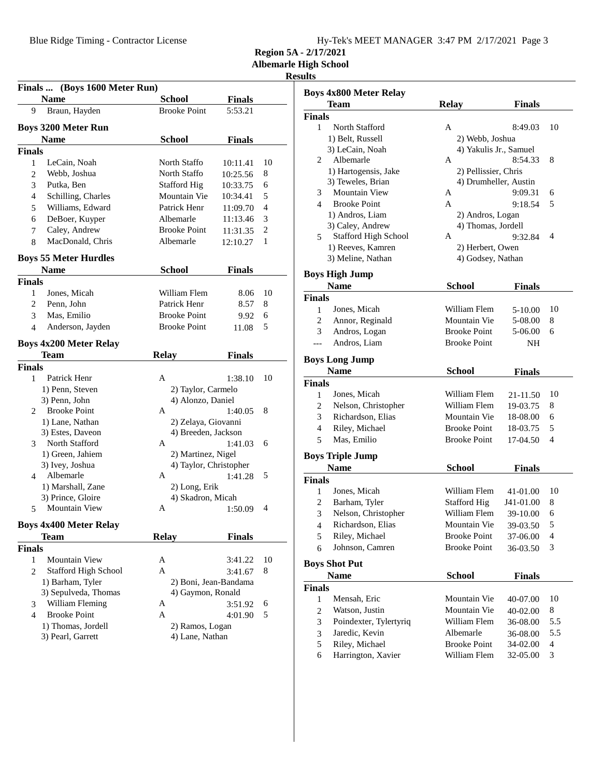**Region 5A - 2/17/2021**

**Albemarle High School**

## **Results**

|                | Finals  (Boys 1600 Meter Run) |                                    |                        |                |
|----------------|-------------------------------|------------------------------------|------------------------|----------------|
|                | <b>Name</b>                   | <b>School</b>                      | <b>Finals</b>          |                |
| 9              | Braun, Hayden                 | <b>Brooke Point</b>                | 5:53.21                |                |
|                | <b>Boys 3200 Meter Run</b>    |                                    |                        |                |
|                | <b>Name</b>                   | <b>School</b>                      | <b>Finals</b>          |                |
| <b>Finals</b>  |                               |                                    |                        |                |
| 1              | LeCain, Noah                  | North Staffo                       | 10:11.41               | 10             |
| 2              | Webb, Joshua                  | North Staffo                       | 10:25.56               | 8              |
| 3              | Putka, Ben                    | <b>Stafford Hig</b>                | 10:33.75               | 6              |
| $\overline{4}$ | Schilling, Charles            | Mountain Vie                       | 10:34.41               | 5              |
| 5              | Williams, Edward              | Patrick Henr                       | 11:09.70               | $\overline{4}$ |
| 6              | DeBoer, Kuyper                | Albemarle                          | 11:13.46               | 3              |
| 7              | Caley, Andrew                 | <b>Brooke Point</b>                | 11:31.35               | $\overline{c}$ |
| 8              | MacDonald, Chris              | Albemarle                          | 12:10.27               | 1              |
|                | <b>Boys 55 Meter Hurdles</b>  |                                    |                        |                |
|                | <b>Name</b>                   | <b>School</b>                      | Finals                 |                |
| <b>Finals</b>  |                               |                                    |                        |                |
| 1              | Jones, Micah                  | William Flem                       | 8.06                   | 10             |
| 2              | Penn, John                    | Patrick Henr                       | 8.57                   | 8              |
| 3              | Mas, Emilio                   | <b>Brooke Point</b>                | 9.92                   | 6              |
| 4              | Anderson, Jayden              | <b>Brooke Point</b>                | 11.08                  | 5              |
|                | <b>Boys 4x200 Meter Relay</b> |                                    |                        |                |
|                | Team                          | <b>Relay</b>                       | <b>Finals</b>          |                |
| <b>Finals</b>  |                               |                                    |                        |                |
| 1              | Patrick Henr                  | A                                  | 1:38.10                | 10             |
|                | 1) Penn, Steven               | 2) Taylor, Carmelo                 |                        |                |
|                | 3) Penn, John                 | 4) Alonzo, Daniel                  |                        |                |
| $\overline{2}$ | <b>Brooke Point</b>           | A                                  | 1:40.05                | 8              |
|                | 1) Lane, Nathan               | 2) Zelaya, Giovanni                |                        |                |
|                | 3) Estes, Daveon              | 4) Breeden, Jackson                |                        |                |
| 3              | North Stafford                | A                                  | 1:41.03                | 6              |
|                | 1) Green, Jahiem              | 2) Martinez, Nigel                 |                        |                |
|                | 3) Ivey, Joshua               |                                    | 4) Taylor, Christopher |                |
| 4              | Albemarle                     | A                                  | 1:41.28                | 5              |
|                | 1) Marshall, Zane             | 2) Long, Erik                      |                        |                |
|                | 3) Prince, Gloire             | 4) Skadron, Micah                  |                        |                |
| 5              | Mountain View                 | А                                  | 1:50.09                | 4              |
|                | <b>Boys 4x400 Meter Relay</b> |                                    |                        |                |
|                | Team                          | <b>Relay</b>                       | <b>Finals</b>          |                |
| <b>Finals</b>  |                               |                                    |                        |                |
| 1              | Mountain View                 | A                                  | 3:41.22                | 10             |
| 2              | <b>Stafford High School</b>   | A                                  | 3:41.67                | 8              |
|                | 1) Barham, Tyler              |                                    | 2) Boni, Jean-Bandama  |                |
|                | 3) Sepulveda, Thomas          | 4) Gaymon, Ronald                  |                        |                |
| 3              | William Fleming               | A                                  | 3:51.92                | 6              |
| 4              | <b>Brooke Point</b>           | A                                  |                        | 5              |
|                | 1) Thomas, Jordell            |                                    | 4:01.90                |                |
|                | 3) Pearl, Garrett             | 2) Ramos, Logan<br>4) Lane, Nathan |                        |                |
|                |                               |                                    |                        |                |

|                | <b>Boys 4x800 Meter Relay</b>       |                     |                        |                |
|----------------|-------------------------------------|---------------------|------------------------|----------------|
|                | Team                                | <b>Relay</b>        | <b>Finals</b>          |                |
| <b>Finals</b>  |                                     |                     |                        |                |
| 1              | North Stafford                      | А                   | 8:49.03                | 10             |
|                | 1) Belt, Russell                    | 2) Webb, Joshua     |                        |                |
|                | 3) LeCain, Noah                     |                     | 4) Yakulis Jr., Samuel |                |
| 2              | Albemarle                           | A                   | 8:54.33                | 8              |
|                | 1) Hartogensis, Jake                |                     | 2) Pellissier, Chris   |                |
|                | 3) Teweles, Brian                   |                     | 4) Drumheller, Austin  |                |
| 3              | <b>Mountain View</b>                | А                   | 9:09.31                | 6              |
| 4              | <b>Brooke Point</b>                 | A                   | 9:18.54                | 5              |
|                | 1) Andros, Liam                     | 2) Andros, Logan    |                        |                |
|                | 3) Caley, Andrew                    |                     | 4) Thomas, Jordell     |                |
| 5              | <b>Stafford High School</b>         | А                   | 9:32.84                | 4              |
|                | 1) Reeves, Kamren                   | 2) Herbert, Owen    |                        |                |
|                | 3) Meline, Nathan                   |                     | 4) Godsey, Nathan      |                |
|                | <b>Boys High Jump</b>               |                     |                        |                |
|                | Name                                | School              | <b>Finals</b>          |                |
| <b>Finals</b>  |                                     |                     |                        |                |
| 1              | Jones, Micah                        | William Flem        | 5-10.00                | 10             |
| 2              | Annor, Reginald                     | Mountain Vie        | 5-08.00                | 8              |
| 3              | Andros, Logan                       | <b>Brooke Point</b> | 5-06.00                | 6              |
|                | Andros, Liam                        | <b>Brooke Point</b> | NΗ                     |                |
|                | <b>Boys Long Jump</b>               |                     |                        |                |
|                | <b>Name</b>                         | <b>School</b>       | <b>Finals</b>          |                |
| <b>Finals</b>  |                                     |                     |                        |                |
| 1              | Jones, Micah                        | William Flem        | 21-11.50               | 10             |
| 2              | Nelson, Christopher                 | William Flem        | 19-03.75               | 8              |
| 3              | Richardson, Elias                   | Mountain Vie        | 18-08.00               | 6              |
| 4              | Riley, Michael                      | <b>Brooke Point</b> | 18-03.75               | 5              |
| 5              | Mas, Emilio                         | <b>Brooke Point</b> | 17-04.50               | 4              |
|                | <b>Boys Triple Jump</b>             |                     |                        |                |
|                | Name                                | School              | Finals                 |                |
| <b>Finals</b>  |                                     |                     |                        |                |
| 1              | Jones, Micah                        | William Flem        | 41-01.00               | 10             |
| 2              | Barham, Tyler                       | <b>Stafford Hig</b> | J41-01.00              | 8              |
| 3              | Nelson, Christopher                 | William Flem        | 39-10.00               | 6              |
| $\overline{4}$ | Richardson, Elias                   | Mountain Vie        | 39-03.50               | 5              |
| 5              | Riley, Michael                      | <b>Brooke Point</b> | 37-06.00               | 4              |
| 6              | Johnson, Camren                     | <b>Brooke Point</b> | 36-03.50               | 3              |
|                |                                     |                     |                        |                |
|                | <b>Boys Shot Put</b><br><b>Name</b> | <b>School</b>       | <b>Finals</b>          |                |
| <b>Finals</b>  |                                     |                     |                        |                |
| 1              | Mensah, Eric                        | Mountain Vie        | 40-07.00               | 10             |
| $\overline{c}$ | Watson, Justin                      | Mountain Vie        | 40-02.00               | 8              |
| 3              | Poindexter, Tylertyriq              | William Flem        | 36-08.00               | 5.5            |
| 3              | Jaredic, Kevin                      | Albemarle           | 36-08.00               | 5.5            |
| 5              | Riley, Michael                      | <b>Brooke Point</b> | 34-02.00               | $\overline{4}$ |
| 6              | Harrington, Xavier                  | William Flem        | 32-05.00               | 3              |
|                |                                     |                     |                        |                |